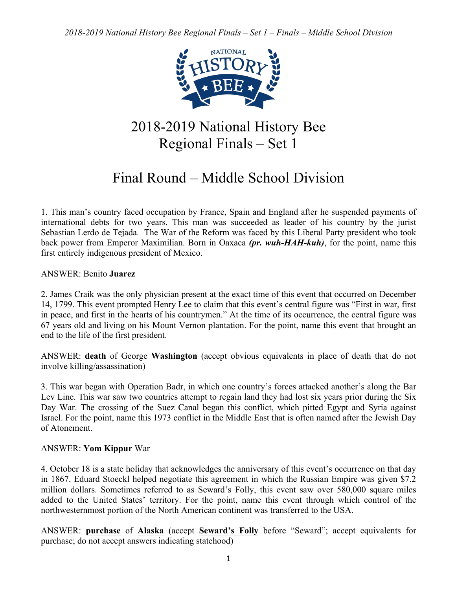

# 2018-2019 National History Bee Regional Finals – Set 1

# Final Round – Middle School Division

1. This man's country faced occupation by France, Spain and England after he suspended payments of international debts for two years. This man was succeeded as leader of his country by the jurist Sebastian Lerdo de Tejada. The War of the Reform was faced by this Liberal Party president who took back power from Emperor Maximilian. Born in Oaxaca *(pr. wuh-HAH-kuh)*, for the point, name this first entirely indigenous president of Mexico.

ANSWER: Benito **Juarez**

2. James Craik was the only physician present at the exact time of this event that occurred on December 14, 1799. This event prompted Henry Lee to claim that this event's central figure was "First in war, first in peace, and first in the hearts of his countrymen." At the time of its occurrence, the central figure was 67 years old and living on his Mount Vernon plantation. For the point, name this event that brought an end to the life of the first president.

ANSWER: **death** of George **Washington** (accept obvious equivalents in place of death that do not involve killing/assassination)

3. This war began with Operation Badr, in which one country's forces attacked another's along the Bar Lev Line. This war saw two countries attempt to regain land they had lost six years prior during the Six Day War. The crossing of the Suez Canal began this conflict, which pitted Egypt and Syria against Israel. For the point, name this 1973 conflict in the Middle East that is often named after the Jewish Day of Atonement.

# ANSWER: **Yom Kippur** War

4. October 18 is a state holiday that acknowledges the anniversary of this event's occurrence on that day in 1867. Eduard Stoeckl helped negotiate this agreement in which the Russian Empire was given \$7.2 million dollars. Sometimes referred to as Seward's Folly, this event saw over 580,000 square miles added to the United States' territory. For the point, name this event through which control of the northwesternmost portion of the North American continent was transferred to the USA.

ANSWER: **purchase** of **Alaska** (accept **Seward's Folly** before "Seward"; accept equivalents for purchase; do not accept answers indicating statehood)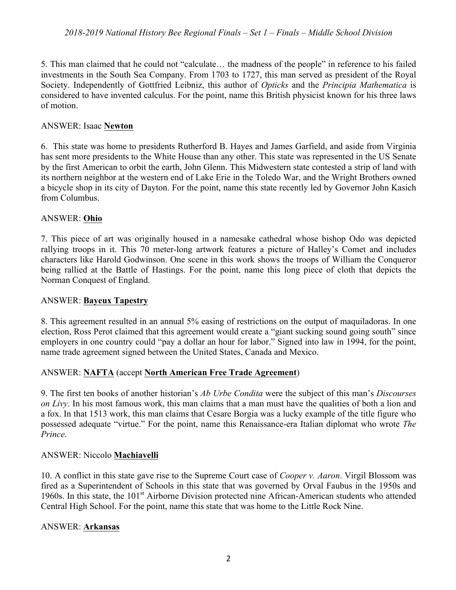5. This man claimed that he could not "calculate… the madness of the people" in reference to his failed investments in the South Sea Company. From 1703 to 1727, this man served as president of the Royal Society. Independently of Gottfried Leibniz, this author of *Opticks* and the *Principia Mathematica* is considered to have invented calculus. For the point, name this British physicist known for his three laws of motion.

## ANSWER: Isaac **Newton**

6. This state was home to presidents Rutherford B. Hayes and James Garfield, and aside from Virginia has sent more presidents to the White House than any other. This state was represented in the US Senate by the first American to orbit the earth, John Glenn. This Midwestern state contested a strip of land with its northern neighbor at the western end of Lake Erie in the Toledo War, and the Wright Brothers owned a bicycle shop in its city of Dayton. For the point, name this state recently led by Governor John Kasich from Columbus.

# ANSWER: **Ohio**

7. This piece of art was originally housed in a namesake cathedral whose bishop Odo was depicted rallying troops in it. This 70 meter-long artwork features a picture of Halley's Comet and includes characters like Harold Godwinson. One scene in this work shows the troops of William the Conqueror being rallied at the Battle of Hastings. For the point, name this long piece of cloth that depicts the Norman Conquest of England.

# ANSWER: **Bayeux Tapestry**

8. This agreement resulted in an annual 5% easing of restrictions on the output of maquiladoras. In one election, Ross Perot claimed that this agreement would create a "giant sucking sound going south" since employers in one country could "pay a dollar an hour for labor." Signed into law in 1994, for the point, name trade agreement signed between the United States, Canada and Mexico.

# ANSWER: **NAFTA** (accept **North American Free Trade Agreement**)

9. The first ten books of another historian's *Ab Urbe Condita* were the subject of this man's *Discourses on Livy*. In his most famous work, this man claims that a man must have the qualities of both a lion and a fox. In that 1513 work, this man claims that Cesare Borgia was a lucky example of the title figure who possessed adequate "virtue." For the point, name this Renaissance-era Italian diplomat who wrote *The Prince*.

# ANSWER: Niccolo **Machiavelli**

10. A conflict in this state gave rise to the Supreme Court case of *Cooper v. Aaron*. Virgil Blossom was fired as a Superintendent of Schools in this state that was governed by Orval Faubus in the 1950s and 1960s. In this state, the 101<sup>st</sup> Airborne Division protected nine African-American students who attended Central High School. For the point, name this state that was home to the Little Rock Nine.

#### ANSWER: **Arkansas**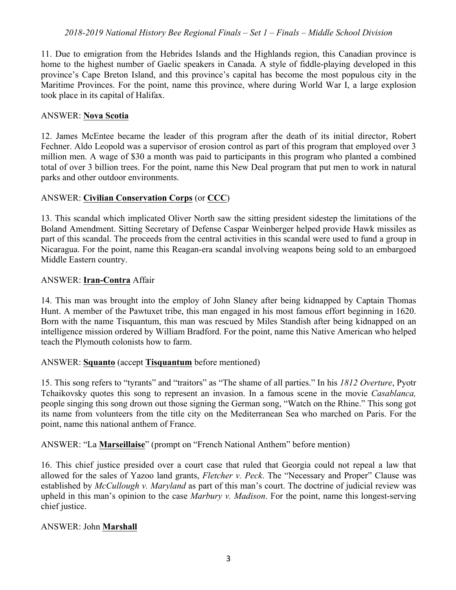11. Due to emigration from the Hebrides Islands and the Highlands region, this Canadian province is home to the highest number of Gaelic speakers in Canada. A style of fiddle-playing developed in this province's Cape Breton Island, and this province's capital has become the most populous city in the Maritime Provinces. For the point, name this province, where during World War I, a large explosion took place in its capital of Halifax.

#### ANSWER: **Nova Scotia**

12. James McEntee became the leader of this program after the death of its initial director, Robert Fechner. Aldo Leopold was a supervisor of erosion control as part of this program that employed over 3 million men. A wage of \$30 a month was paid to participants in this program who planted a combined total of over 3 billion trees. For the point, name this New Deal program that put men to work in natural parks and other outdoor environments.

## ANSWER: **Civilian Conservation Corps** (or **CCC**)

13. This scandal which implicated Oliver North saw the sitting president sidestep the limitations of the Boland Amendment. Sitting Secretary of Defense Caspar Weinberger helped provide Hawk missiles as part of this scandal. The proceeds from the central activities in this scandal were used to fund a group in Nicaragua. For the point, name this Reagan-era scandal involving weapons being sold to an embargoed Middle Eastern country.

#### ANSWER: **Iran-Contra** Affair

14. This man was brought into the employ of John Slaney after being kidnapped by Captain Thomas Hunt. A member of the Pawtuxet tribe, this man engaged in his most famous effort beginning in 1620. Born with the name Tisquantum, this man was rescued by Miles Standish after being kidnapped on an intelligence mission ordered by William Bradford. For the point, name this Native American who helped teach the Plymouth colonists how to farm.

# ANSWER: **Squanto** (accept **Tisquantum** before mentioned)

15. This song refers to "tyrants" and "traitors" as "The shame of all parties." In his *1812 Overture*, Pyotr Tchaikovsky quotes this song to represent an invasion. In a famous scene in the movie *Casablanca,*  people singing this song drown out those signing the German song, "Watch on the Rhine." This song got its name from volunteers from the title city on the Mediterranean Sea who marched on Paris. For the point, name this national anthem of France.

ANSWER: "La **Marseillaise**" (prompt on "French National Anthem" before mention)

16. This chief justice presided over a court case that ruled that Georgia could not repeal a law that allowed for the sales of Yazoo land grants, *Fletcher v. Peck*. The "Necessary and Proper" Clause was established by *McCullough v. Maryland* as part of this man's court. The doctrine of judicial review was upheld in this man's opinion to the case *Marbury v. Madison*. For the point, name this longest-serving chief justice.

# ANSWER: John **Marshall**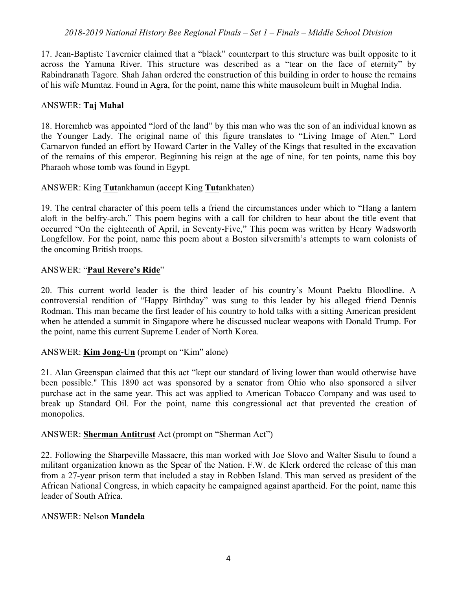17. Jean-Baptiste Tavernier claimed that a "black" counterpart to this structure was built opposite to it across the Yamuna River. This structure was described as a "tear on the face of eternity" by Rabindranath Tagore. Shah Jahan ordered the construction of this building in order to house the remains of his wife Mumtaz. Found in Agra, for the point, name this white mausoleum built in Mughal India.

#### ANSWER: **Taj Mahal**

18. Horemheb was appointed "lord of the land" by this man who was the son of an individual known as the Younger Lady. The original name of this figure translates to "Living Image of Aten." Lord Carnarvon funded an effort by Howard Carter in the Valley of the Kings that resulted in the excavation of the remains of this emperor. Beginning his reign at the age of nine, for ten points, name this boy Pharaoh whose tomb was found in Egypt.

ANSWER: King **Tut**ankhamun (accept King **Tut**ankhaten)

19. The central character of this poem tells a friend the circumstances under which to "Hang a lantern aloft in the belfry-arch." This poem begins with a call for children to hear about the title event that occurred "On the eighteenth of April, in Seventy-Five," This poem was written by Henry Wadsworth Longfellow. For the point, name this poem about a Boston silversmith's attempts to warn colonists of the oncoming British troops.

## ANSWER: "**Paul Revere's Ride**"

20. This current world leader is the third leader of his country's Mount Paektu Bloodline. A controversial rendition of "Happy Birthday" was sung to this leader by his alleged friend Dennis Rodman. This man became the first leader of his country to hold talks with a sitting American president when he attended a summit in Singapore where he discussed nuclear weapons with Donald Trump. For the point, name this current Supreme Leader of North Korea.

# ANSWER: **Kim Jong-Un** (prompt on "Kim" alone)

21. Alan Greenspan claimed that this act "kept our standard of living lower than would otherwise have been possible." This 1890 act was sponsored by a senator from Ohio who also sponsored a silver purchase act in the same year. This act was applied to American Tobacco Company and was used to break up Standard Oil. For the point, name this congressional act that prevented the creation of monopolies.

#### ANSWER: **Sherman Antitrust** Act (prompt on "Sherman Act")

22. Following the Sharpeville Massacre, this man worked with Joe Slovo and Walter Sisulu to found a militant organization known as the Spear of the Nation. F.W. de Klerk ordered the release of this man from a 27-year prison term that included a stay in Robben Island. This man served as president of the African National Congress, in which capacity he campaigned against apartheid. For the point, name this leader of South Africa.

#### ANSWER: Nelson **Mandela**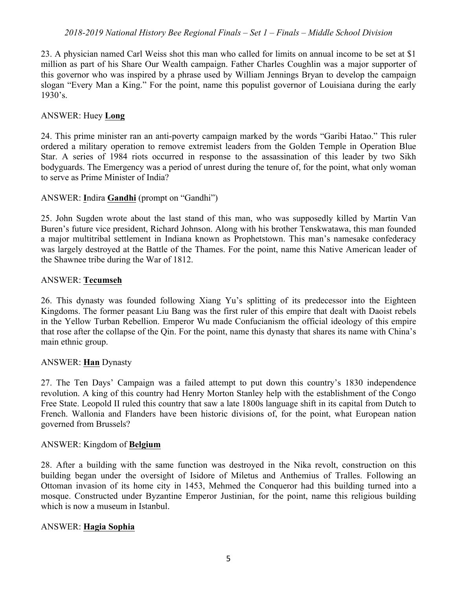23. A physician named Carl Weiss shot this man who called for limits on annual income to be set at \$1 million as part of his Share Our Wealth campaign. Father Charles Coughlin was a major supporter of this governor who was inspired by a phrase used by William Jennings Bryan to develop the campaign slogan "Every Man a King." For the point, name this populist governor of Louisiana during the early 1930's.

## ANSWER: Huey **Long**

24. This prime minister ran an anti-poverty campaign marked by the words "Garibi Hatao." This ruler ordered a military operation to remove extremist leaders from the Golden Temple in Operation Blue Star. A series of 1984 riots occurred in response to the assassination of this leader by two Sikh bodyguards. The Emergency was a period of unrest during the tenure of, for the point, what only woman to serve as Prime Minister of India?

## ANSWER: **I**ndira **Gandhi** (prompt on "Gandhi")

25. John Sugden wrote about the last stand of this man, who was supposedly killed by Martin Van Buren's future vice president, Richard Johnson. Along with his brother Tenskwatawa, this man founded a major multitribal settlement in Indiana known as Prophetstown. This man's namesake confederacy was largely destroyed at the Battle of the Thames. For the point, name this Native American leader of the Shawnee tribe during the War of 1812.

#### ANSWER: **Tecumseh**

26. This dynasty was founded following Xiang Yu's splitting of its predecessor into the Eighteen Kingdoms. The former peasant Liu Bang was the first ruler of this empire that dealt with Daoist rebels in the Yellow Turban Rebellion. Emperor Wu made Confucianism the official ideology of this empire that rose after the collapse of the Qin. For the point, name this dynasty that shares its name with China's main ethnic group.

# ANSWER: **Han** Dynasty

27. The Ten Days' Campaign was a failed attempt to put down this country's 1830 independence revolution. A king of this country had Henry Morton Stanley help with the establishment of the Congo Free State. Leopold II ruled this country that saw a late 1800s language shift in its capital from Dutch to French. Wallonia and Flanders have been historic divisions of, for the point, what European nation governed from Brussels?

#### ANSWER: Kingdom of **Belgium**

28. After a building with the same function was destroyed in the Nika revolt, construction on this building began under the oversight of Isidore of Miletus and Anthemius of Tralles. Following an Ottoman invasion of its home city in 1453, Mehmed the Conqueror had this building turned into a mosque. Constructed under Byzantine Emperor Justinian, for the point, name this religious building which is now a museum in Istanbul.

#### ANSWER: **Hagia Sophia**